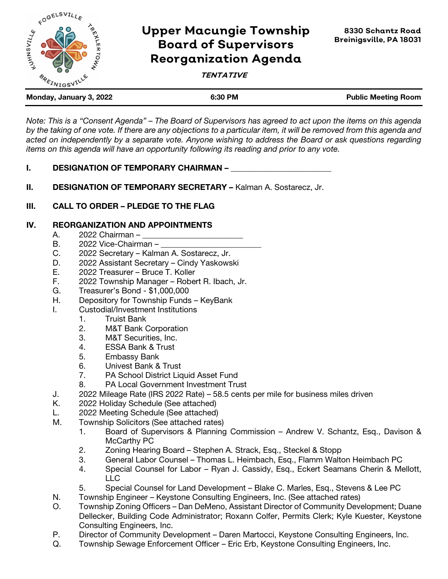

# **Upper Macungie Township Board of Supervisors Reorganization Agenda**

## **TENTATIVE**

| Monday, January 3, 2022 | 6:30 PM | <b>Public Meeting Room</b> |
|-------------------------|---------|----------------------------|
|                         |         |                            |

*Note: This is a "Consent Agenda" – The Board of Supervisors has agreed to act upon the items on this agenda by the taking of one vote. If there are any objections to a particular item, it will be removed from this agenda and acted on independently by a separate vote. Anyone wishing to address the Board or ask questions regarding items on this agenda will have an opportunity following its reading and prior to any vote.*

#### I. DESIGNATION OF TEMPORARY CHAIRMAN –

II. DESIGNATION OF TEMPORARY SECRETARY – Kalman A. Sostarecz, Jr.

# III. CALL TO ORDER – PLEDGE TO THE FLAG

#### IV. REORGANIZATION AND APPOINTMENTS

- A. 2022 Chairman –
- $B.$  2022 Vice-Chairman –
- C. 2022 Secretary Kalman A. Sostarecz, Jr.
- D. 2022 Assistant Secretary Cindy Yaskowski
- E. 2022 Treasurer Bruce T. Koller
- F. 2022 Township Manager Robert R. Ibach, Jr.
- G. Treasurer's Bond \$1,000,000
- H. Depository for Township Funds KeyBank
- I. Custodial/Investment Institutions
	- 1. Truist Bank
	- 2. M&T Bank Corporation
	- 3. M&T Securities, Inc.
	- 4. ESSA Bank & Trust
	- 5. Embassy Bank
	- 6. Univest Bank & Trust
	- 7. PA School District Liquid Asset Fund
	- 8. PA Local Government Investment Trust
- J. 2022 Mileage Rate (IRS 2022 Rate) 58.5 cents per mile for business miles driven
- K. 2022 Holiday Schedule (See attached)
- L. 2022 Meeting Schedule (See attached)
- M. Township Solicitors (See attached rates)
	- 1. Board of Supervisors & Planning Commission Andrew V. Schantz, Esq., Davison & McCarthy PC
	- 2. Zoning Hearing Board Stephen A. Strack, Esq., Steckel & Stopp
	- 3. General Labor Counsel Thomas L. Heimbach, Esq., Flamm Walton Heimbach PC
	- 4. Special Counsel for Labor Ryan J. Cassidy, Esq., Eckert Seamans Cherin & Mellott, LLC
	- 5. Special Counsel for Land Development Blake C. Marles, Esq., Stevens & Lee PC
- N. Township Engineer Keystone Consulting Engineers, Inc. (See attached rates)
- O. Township Zoning Officers Dan DeMeno, Assistant Director of Community Development; Duane Dellecker, Building Code Administrator; Roxann Colfer, Permits Clerk; Kyle Kuester, Keystone Consulting Engineers, Inc.
- P. Director of Community Development Daren Martocci, Keystone Consulting Engineers, Inc.
- Q. Township Sewage Enforcement Officer Eric Erb, Keystone Consulting Engineers, Inc.